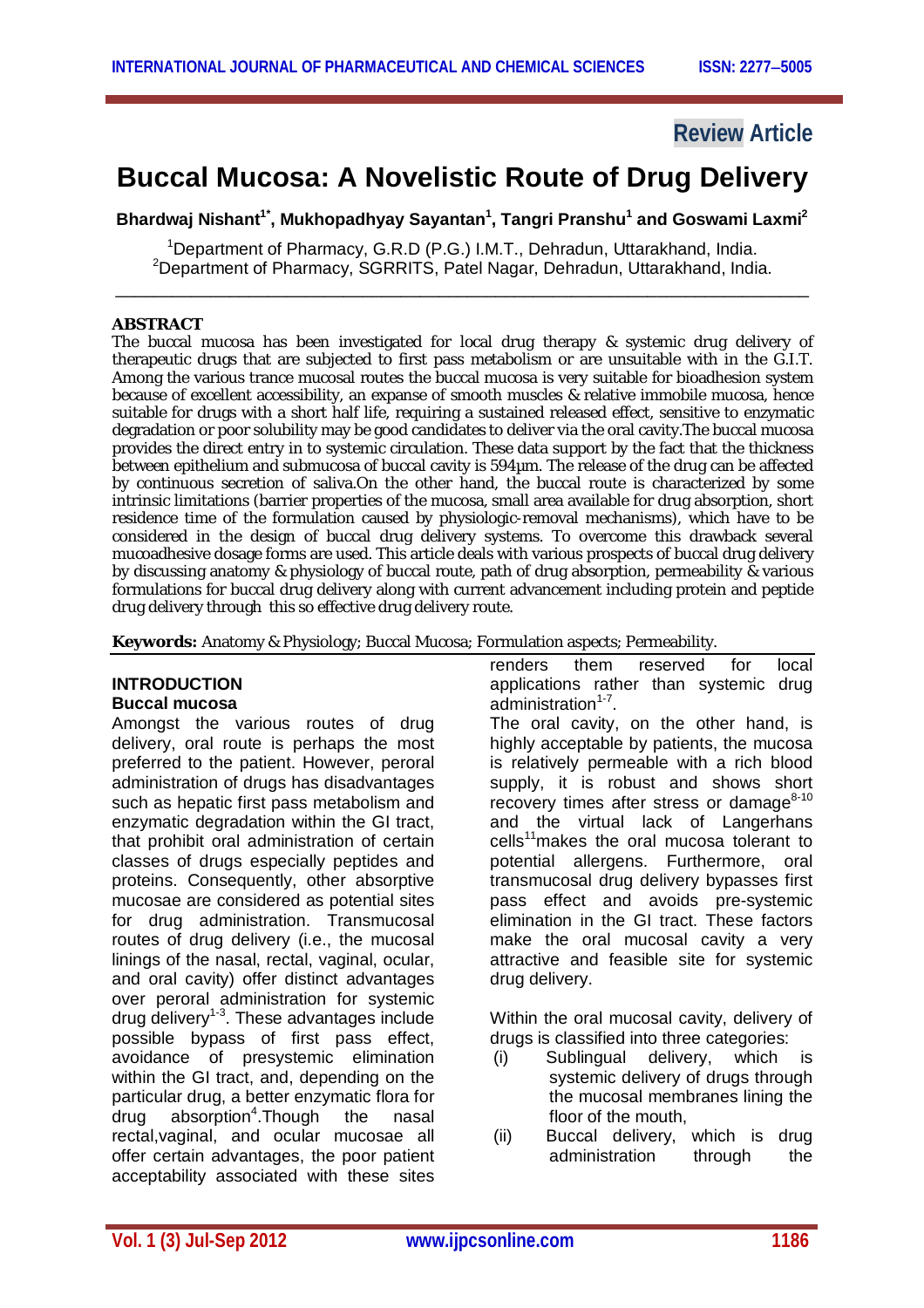## **Review Article**

# **Buccal Mucosa: A Novelistic Route of Drug Delivery**

**Bhardwaj Nishant1\* , Mukhopadhyay Sayantan<sup>1</sup> , Tangri Pranshu<sup>1</sup> and Goswami Laxmi<sup>2</sup>**

<sup>1</sup>Department of Pharmacy, G.R.D (P.G.) I.M.T., Dehradun, Uttarakhand, India. <sup>2</sup>Department of Pharmacy, SGRRITS, Patel Nagar, Dehradun, Uttarakhand, India. \_\_\_\_\_\_\_\_\_\_\_\_\_\_\_\_\_\_\_\_\_\_\_\_\_\_\_\_\_\_\_\_\_\_\_\_\_\_\_\_\_\_\_\_\_\_\_\_\_\_\_\_\_\_\_\_\_\_\_\_\_\_\_\_\_\_\_\_\_\_\_\_\_

#### **ABSTRACT**

The buccal mucosa has been investigated for local drug therapy & systemic drug delivery of therapeutic drugs that are subjected to first pass metabolism or are unsuitable with in the G.I.T. Among the various trance mucosal routes the buccal mucosa is very suitable for bioadhesion system because of excellent accessibility, an expanse of smooth muscles & relative immobile mucosa, hence suitable for drugs with a short half life, requiring a sustained released effect, sensitive to enzymatic degradation or poor solubility may be good candidates to deliver via the oral cavity.The buccal mucosa provides the direct entry in to systemic circulation. These data support by the fact that the thickness between epithelium and submucosa of buccal cavity is 594µm. The release of the drug can be affected by continuous secretion of saliva.On the other hand, the buccal route is characterized by some intrinsic limitations (barrier properties of the mucosa, small area available for drug absorption, short residence time of the formulation caused by physiologic-removal mechanisms), which have to be considered in the design of buccal drug delivery systems. To overcome this drawback several mucoadhesive dosage forms are used. This article deals with various prospects of buccal drug delivery by discussing anatomy & physiology of buccal route, path of drug absorption, permeability & various formulations for buccal drug delivery along with current advancement including protein and peptide drug delivery through this so effective drug delivery route.

**Keywords:** Anatomy & Physiology; Buccal Mucosa; Formulation aspects; Permeability.

#### **INTRODUCTION Buccal mucosa**

Amongst the various routes of drug delivery, oral route is perhaps the most preferred to the patient. However, peroral administration of drugs has disadvantages such as hepatic first pass metabolism and enzymatic degradation within the GI tract, that prohibit oral administration of certain classes of drugs especially peptides and proteins. Consequently, other absorptive mucosae are considered as potential sites for drug administration. Transmucosal routes of drug delivery (i.e., the mucosal linings of the nasal, rectal, vaginal, ocular, and oral cavity) offer distinct advantages over peroral administration for systemic drug delivery<sup>1-3</sup>. These advantages include possible bypass of first pass effect, avoidance of presystemic elimination within the GI tract, and, depending on the particular drug, a better enzymatic flora for<br>drug absorption<sup>4</sup>. Though the nasal drug absorption<sup>4</sup>.Though the nasal rectal,vaginal, and ocular mucosae all offer certain advantages, the poor patient acceptability associated with these sites renders them reserved for local applications rather than systemic drug administration<sup>1-7</sup>.

The oral cavity, on the other hand, is highly acceptable by patients, the mucosa is relatively permeable with a rich blood supply, it is robust and shows short recovery times after stress or damage<sup>8-10</sup> and the virtual lack of Langerhans cells<sup>11</sup>makes the oral mucosa tolerant to potential allergens. Furthermore, oral transmucosal drug delivery bypasses first pass effect and avoids pre-systemic elimination in the GI tract. These factors make the oral mucosal cavity a very attractive and feasible site for systemic drug delivery.

Within the oral mucosal cavity, delivery of drugs is classified into three categories:

- (i) Sublingual delivery, which is systemic delivery of drugs through the mucosal membranes lining the floor of the mouth,
- (ii) Buccal delivery, which is drug administration through the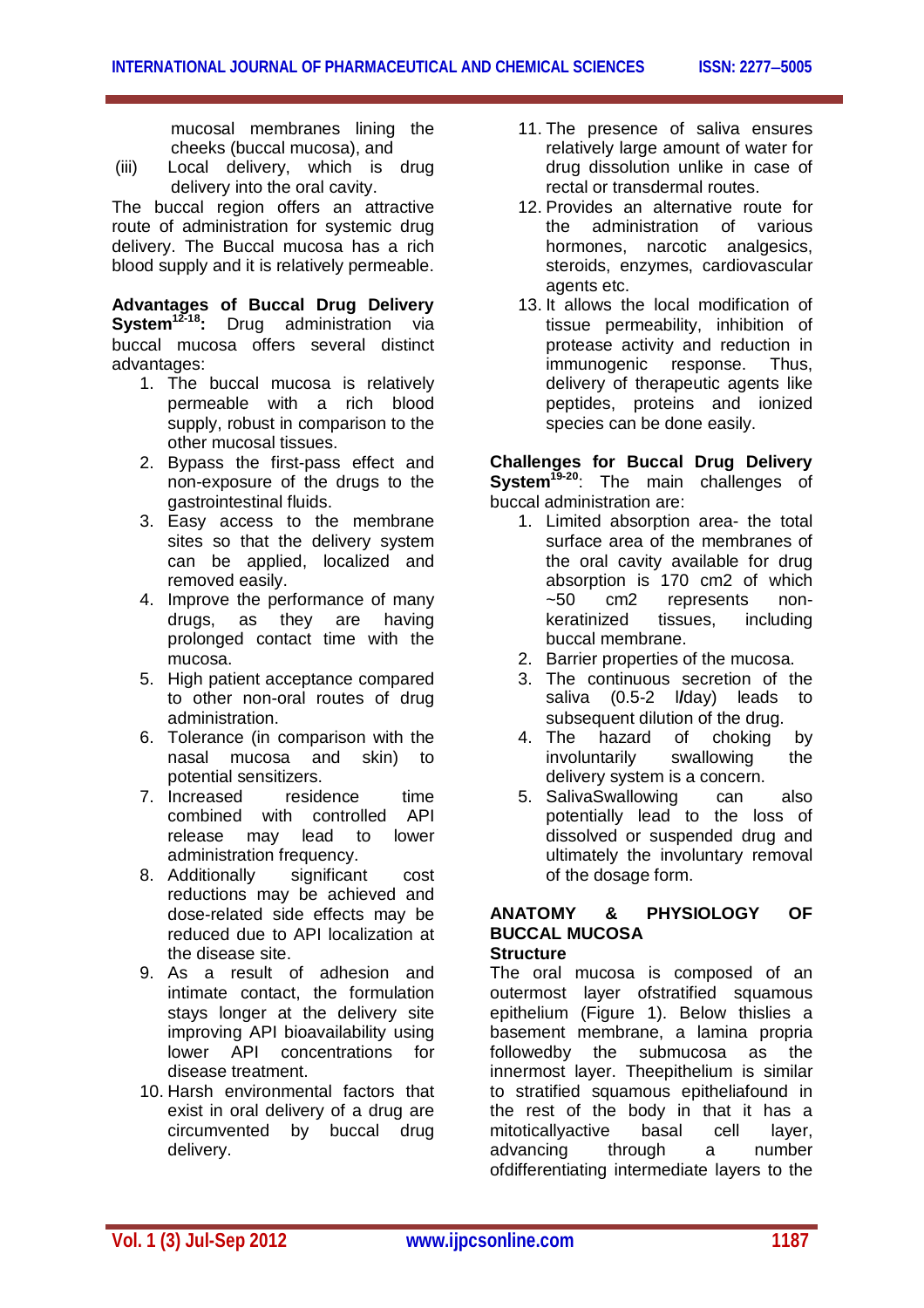mucosal membranes lining the cheeks (buccal mucosa), and

(iii) Local delivery, which is drug delivery into the oral cavity.

The buccal region offers an attractive route of administration for systemic drug delivery. The Buccal mucosa has a rich blood supply and it is relatively permeable.

**Advantages of Buccal Drug Delivery System12-18:** Drug administration via buccal mucosa offers several distinct advantages:

- 1. The buccal mucosa is relatively permeable with a rich blood supply, robust in comparison to the other mucosal tissues.
- 2. Bypass the first-pass effect and non-exposure of the drugs to the gastrointestinal fluids.
- 3. Easy access to the membrane sites so that the delivery system can be applied, localized and removed easily.
- 4. Improve the performance of many drugs, as they are having prolonged contact time with the mucosa.
- 5. High patient acceptance compared to other non-oral routes of drug administration.
- 6. Tolerance (in comparison with the nasal mucosa and skin) to potential sensitizers.
- 7. Increased residence time combined with controlled API release may lead to lower administration frequency.<br>Additionally significant
- 8. Additionally significant cost reductions may be achieved and dose-related side effects may be reduced due to API localization at the disease site.
- 9. As a result of adhesion and intimate contact, the formulation stays longer at the delivery site improving API bioavailability using lower API concentrations for disease treatment.
- 10. Harsh environmental factors that exist in oral delivery of a drug are circumvented by buccal drug delivery.
- 11. The presence of saliva ensures relatively large amount of water for drug dissolution unlike in case of rectal or transdermal routes.
- 12. Provides an alternative route for the administration of various hormones, narcotic analgesics, steroids, enzymes, cardiovascular agents etc.
- 13. It allows the local modification of tissue permeability, inhibition of protease activity and reduction in immunogenic response. Thus, delivery of therapeutic agents like peptides, proteins and ionized species can be done easily.

#### **Challenges for Buccal Drug Delivery System19-20**: The main challenges of buccal administration are:

- 1. Limited absorption area- the total surface area of the membranes of the oral cavity available for drug absorption is 170 cm2 of which ~50 cm2 represents nonkeratinized tissues, including buccal membrane.
- 2. Barrier properties of the mucosa.
- 3. The continuous secretion of the saliva (0.5-2 l**/**day) leads to subsequent dilution of the drug.
- 4. The hazard of choking by involuntarily swallowing the delivery system is a concern.
- 5. SalivaSwallowing can also potentially lead to the loss of dissolved or suspended drug and ultimately the involuntary removal of the dosage form.

#### **ANATOMY & PHYSIOLOGY OF BUCCAL MUCOSA Structure**

#### The oral mucosa is composed of an outermost layer ofstratified squamous epithelium (Figure 1). Below thislies a basement membrane, a lamina propria followedby the submucosa as the innermost layer. Theepithelium is similar to stratified squamous epitheliafound in the rest of the body in that it has a<br>mitoticallvactive basal cell laver. mitoticallyactive basal cell layer, advancing through a number ofdifferentiating intermediate layers to the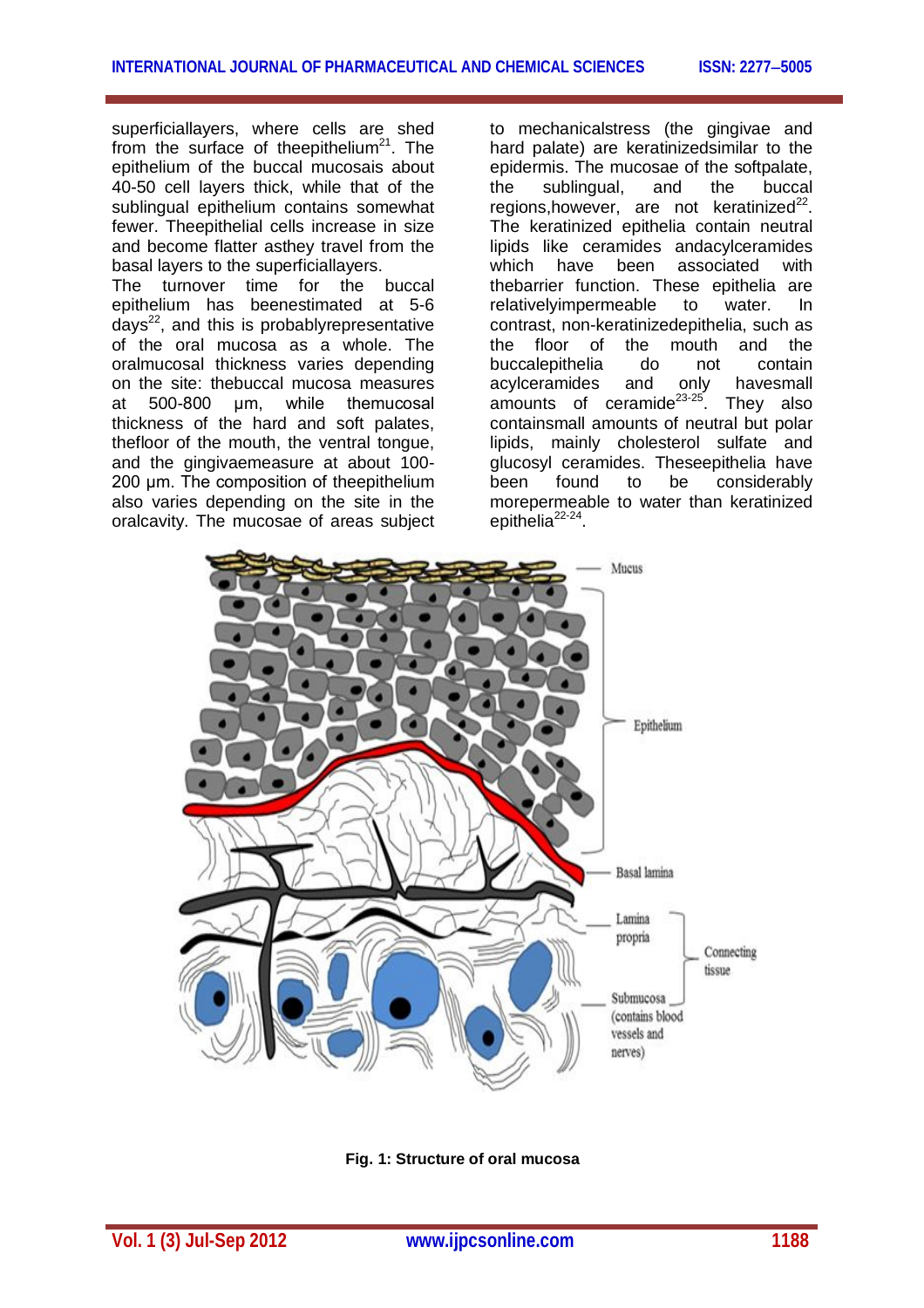superficiallayers, where cells are shed from the surface of the epithelium<sup>21</sup>. The epithelium of the buccal mucosais about 40-50 cell layers thick, while that of the sublingual epithelium contains somewhat fewer. Theepithelial cells increase in size and become flatter asthey travel from the basal layers to the superficiallayers.

The turnover time for the buccal epithelium has beenestimated at 5-6  $days<sup>22</sup>$ , and this is probably representative of the oral mucosa as a whole. The oralmucosal thickness varies depending on the site: thebuccal mucosa measures at 500-800 μm, while themucosal thickness of the hard and soft palates, thefloor of the mouth, the ventral tongue, and the gingivaemeasure at about 100- 200 μm. The composition of theepithelium also varies depending on the site in the oralcavity. The mucosae of areas subject

to mechanicalstress (the gingivae and hard palate) are keratinizedsimilar to the epidermis. The mucosae of the softpalate, the sublingual, and the buccal regions, however, are not keratinized $^{22}$ . The keratinized epithelia contain neutral lipids like ceramides andacylceramides which have been associated with thebarrier function. These epithelia are relativelyimpermeable to water. In contrast, non-keratinizedepithelia, such as the floor of the mouth and the<br>buccalenithelia do not contain buccalepithelia do not contain acylceramides and only havesmall amounts of ceramide $23-25$ . They also containsmall amounts of neutral but polar lipids, mainly cholesterol sulfate and glucosyl ceramides. Theseepithelia have been found to be considerably morepermeable to water than keratinized epithelia<sup>22-24</sup>.



**Fig. 1: Structure of oral mucosa**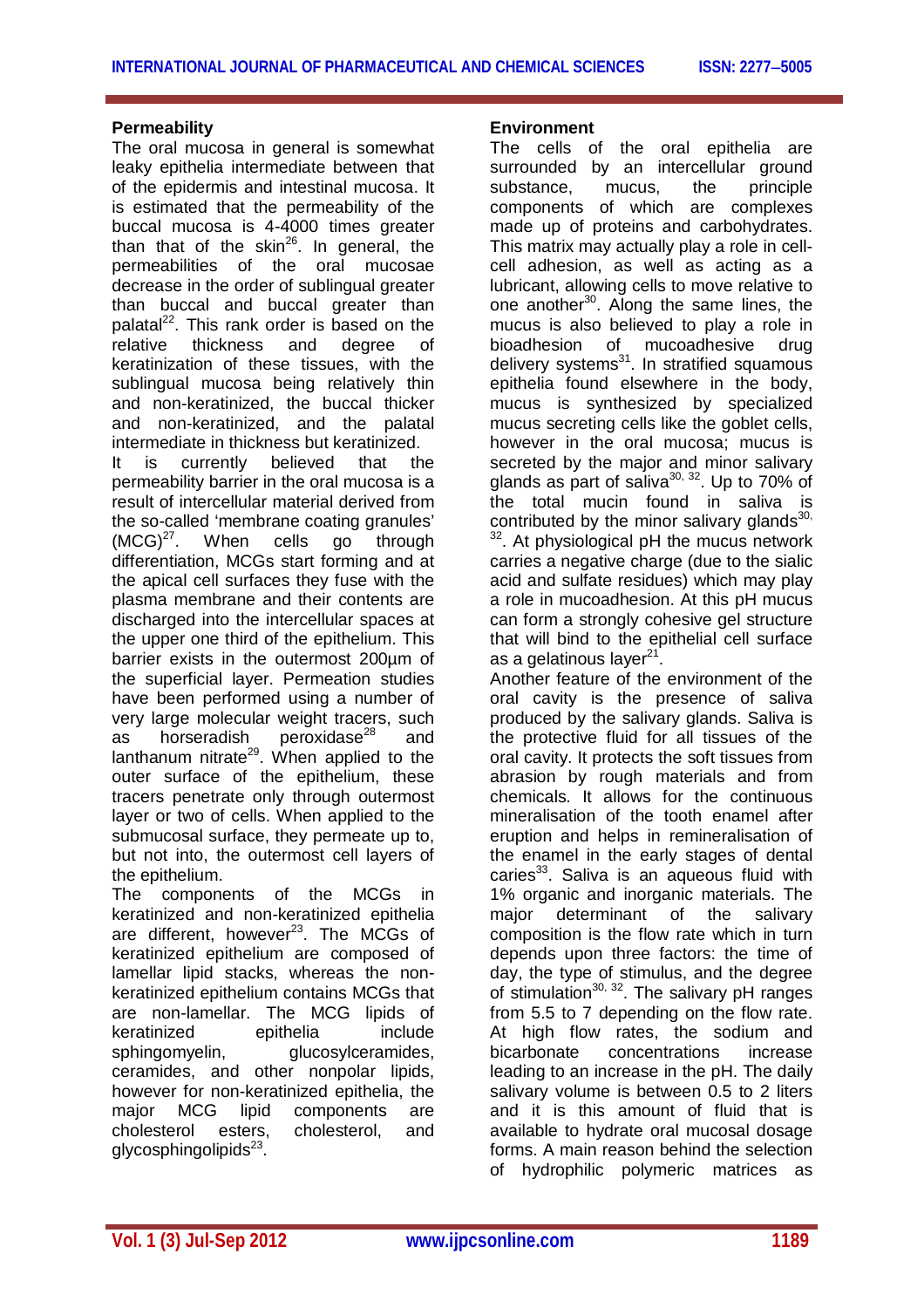## **Permeability**

The oral mucosa in general is somewhat leaky epithelia intermediate between that of the epidermis and intestinal mucosa. It is estimated that the permeability of the buccal mucosa is 4-4000 times greater than that of the skin<sup>26</sup>. In general, the permeabilities of the oral mucosae decrease in the order of sublingual greater than buccal and buccal greater than palatal<sup>22</sup>. This rank order is based on the relative thickness and degree of keratinization of these tissues, with the sublingual mucosa being relatively thin and non-keratinized, the buccal thicker and non-keratinized, and the palatal intermediate in thickness but keratinized.

It is currently believed that the permeability barrier in the oral mucosa is a result of intercellular material derived from the so-called 'membrane coating granules'  $(MCG)^{27}$ . When cells go through differentiation, MCGs start forming and at the apical cell surfaces they fuse with the plasma membrane and their contents are discharged into the intercellular spaces at the upper one third of the epithelium. This barrier exists in the outermost 200µm of the superficial layer. Permeation studies have been performed using a number of very large molecular weight tracers, such as horseradish peroxidase $^{28}$ and lanthanum nitrate<sup>29</sup>. When applied to the outer surface of the epithelium, these tracers penetrate only through outermost layer or two of cells. When applied to the submucosal surface, they permeate up to, but not into, the outermost cell layers of the epithelium.

The components of the MCGs in keratinized and non-keratinized epithelia are different, however<sup>23</sup>. The MCGs of keratinized epithelium are composed of lamellar lipid stacks, whereas the nonkeratinized epithelium contains MCGs that are non-lamellar. The MCG lipids of keratinized epithelia include sphingomyelin, glucosylceramides, ceramides, and other nonpolar lipids, however for non-keratinized epithelia, the major MCG lipid components are<br>cholesterol esters, cholesterol, and cholesterol esters, cholesterol, and glycosphingolipids<sup>23</sup>.

#### **Environment**

The cells of the oral epithelia are surrounded by an intercellular ground substance. mucus, the principle components of which are complexes made up of proteins and carbohydrates. This matrix may actually play a role in cellcell adhesion, as well as acting as a lubricant, allowing cells to move relative to one another<sup>30</sup>. Along the same lines, the mucus is also believed to play a role in bioadhesion of mucoadhesive drug delivery systems<sup>31</sup>. In stratified squamous epithelia found elsewhere in the body, mucus is synthesized by specialized mucus secreting cells like the goblet cells, however in the oral mucosa; mucus is secreted by the major and minor salivary glands as part of saliva<sup>30, 32</sup>. Up to 70% of the total mucin found in saliva is contributed by the minor salivary glands $30$ ,  $2.$  At physiological pH the mucus network carries a negative charge (due to the sialic acid and sulfate residues) which may play a role in mucoadhesion. At this pH mucus can form a strongly cohesive gel structure that will bind to the epithelial cell surface as a gelatinous layer<sup>21</sup>.

Another feature of the environment of the oral cavity is the presence of saliva produced by the salivary glands. Saliva is the protective fluid for all tissues of the oral cavity. It protects the soft tissues from abrasion by rough materials and from chemicals. It allows for the continuous mineralisation of the tooth enamel after eruption and helps in remineralisation of the enamel in the early stages of dental caries<sup>33</sup>. Saliva is an aqueous fluid with 1% organic and inorganic materials. The major determinant of the salivary composition is the flow rate which in turn depends upon three factors: the time of day, the type of stimulus, and the degree of stimulation $30, 32$ . The salivary pH ranges from 5.5 to 7 depending on the flow rate. At high flow rates, the sodium and bicarbonate concentrations increase leading to an increase in the pH. The daily salivary volume is between 0.5 to 2 liters and it is this amount of fluid that is available to hydrate oral mucosal dosage forms. A main reason behind the selection of hydrophilic polymeric matrices as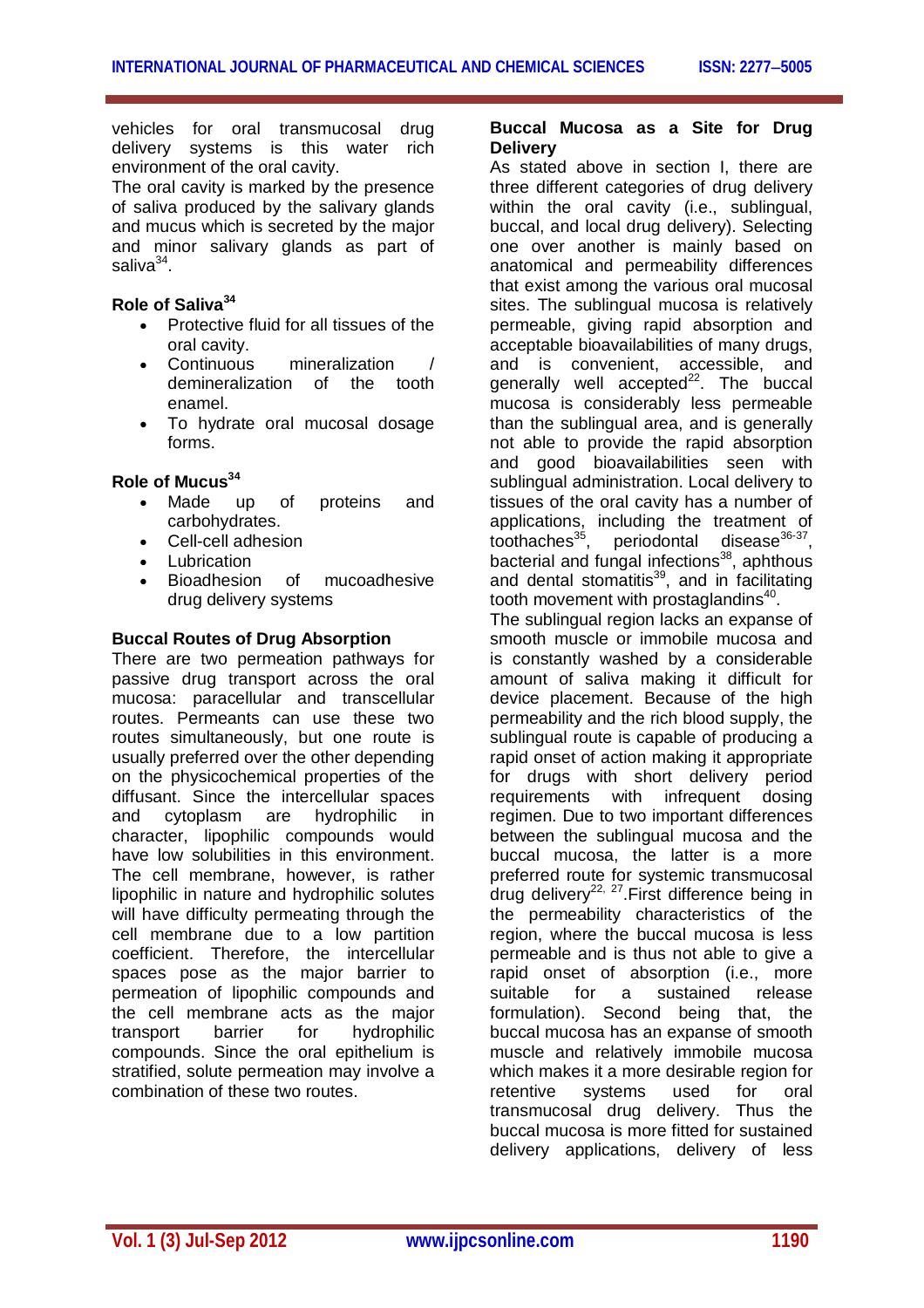vehicles for oral transmucosal drug delivery systems is this water rich environment of the oral cavity.

The oral cavity is marked by the presence of saliva produced by the salivary glands and mucus which is secreted by the major and minor salivary glands as part of saliva<sup>34</sup>.

## **Role of Saliva<sup>34</sup>**

- Protective fluid for all tissues of the oral cavity.
- Continuous mineralization / demineralization of the tooth enamel.
- To hydrate oral mucosal dosage forms.

## **Role of Mucus<sup>34</sup>**

- Made up of proteins and carbohydrates.
- Cell-cell adhesion
- **Lubrication**
- Bioadhesion of mucoadhesive drug delivery systems

## **Buccal Routes of Drug Absorption**

There are two permeation pathways for passive drug transport across the oral mucosa: paracellular and transcellular routes. Permeants can use these two routes simultaneously, but one route is usually preferred over the other depending on the physicochemical properties of the diffusant. Since the intercellular spaces and cytoplasm are hydrophilic in character, lipophilic compounds would have low solubilities in this environment. The cell membrane, however, is rather lipophilic in nature and hydrophilic solutes will have difficulty permeating through the cell membrane due to a low partition coefficient. Therefore, the intercellular spaces pose as the major barrier to permeation of lipophilic compounds and the cell membrane acts as the major transport barrier for hydrophilic compounds. Since the oral epithelium is stratified, solute permeation may involve a combination of these two routes.

#### **Buccal Mucosa as a Site for Drug Delivery**

As stated above in section I, there are three different categories of drug delivery within the oral cavity (i.e., sublingual, buccal, and local drug delivery). Selecting one over another is mainly based on anatomical and permeability differences that exist among the various oral mucosal sites. The sublingual mucosa is relatively permeable, giving rapid absorption and acceptable bioavailabilities of many drugs, and is convenient, accessible, and generally well accepted $^{22}$ . The buccal mucosa is considerably less permeable than the sublingual area, and is generally not able to provide the rapid absorption and good bioavailabilities seen with sublingual administration. Local delivery to tissues of the oral cavity has a number of applications, including the treatment of toothaches<sup>35</sup>, periodontal disease<sup>36-37</sup>, toothaches<sup>35</sup>, periodontal disease<sup>36-37</sup>, bacterial and fungal infections<sup>38</sup>, aphthous and dental stomatitis<sup>39</sup>, and in facilitating tooth movement with prostaglandins $^{40}$ . The sublingual region lacks an expanse of smooth muscle or immobile mucosa and is constantly washed by a considerable amount of saliva making it difficult for device placement. Because of the high permeability and the rich blood supply, the sublingual route is capable of producing a rapid onset of action making it appropriate for drugs with short delivery period requirements with infrequent dosing regimen. Due to two important differences between the sublingual mucosa and the buccal mucosa, the latter is a more preferred route for systemic transmucosal drug delivery<sup>22, 27</sup>. First difference being in the permeability characteristics of the region, where the buccal mucosa is less permeable and is thus not able to give a rapid onset of absorption (i.e., more suitable for a sustained release formulation). Second being that, the buccal mucosa has an expanse of smooth muscle and relatively immobile mucosa which makes it a more desirable region for retentive systems used for oral transmucosal drug delivery. Thus the buccal mucosa is more fitted for sustained delivery applications, delivery of less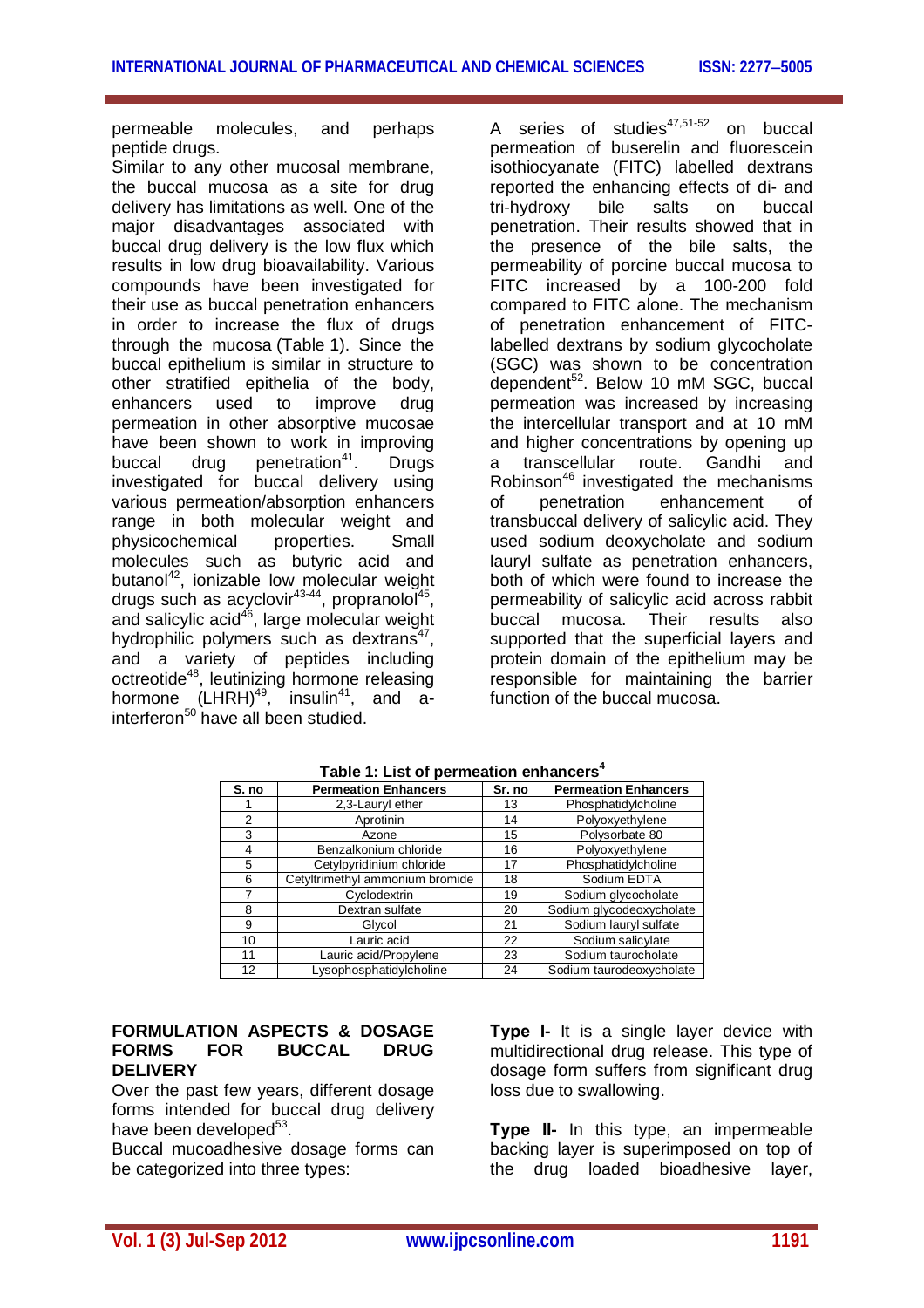permeable molecules, and perhaps peptide drugs.

Similar to any other mucosal membrane, the buccal mucosa as a site for drug delivery has limitations as well. One of the major disadvantages associated with buccal drug delivery is the low flux which results in low drug bioavailability. Various compounds have been investigated for their use as buccal penetration enhancers in order to increase the flux of drugs through the mucosa (Table 1). Since the buccal epithelium is similar in structure to other stratified epithelia of the body, enhancers used to improve drug permeation in other absorptive mucosae have been shown to work in improving buccal drug penetration<sup>41</sup>. Drugs investigated for buccal delivery using various permeation/absorption enhancers range in both molecular weight and physicochemical properties. Small molecules such as butyric acid and butanol<sup>42</sup>, ionizable low molecular weight drugs such as acyclovir<sup>43-44</sup>, propranolol<sup>45</sup>, and salicylic acid<sup>46</sup>, large molecular weight hydrophilic polymers such as dextrans<sup>47</sup>, and a variety of peptides including octreotide<sup>48</sup>, leutinizing hormone releasing hormone (LHRH)<sup>49</sup>, insulin<sup>41</sup>, and ainterferon<sup>50</sup> have all been studied.

A series of studies<sup>47,51-52</sup> on buccal permeation of buserelin and fluorescein isothiocyanate (FITC) labelled dextrans reported the enhancing effects of di- and tri-hydroxy bile salts on buccal penetration. Their results showed that in the presence of the bile salts, the permeability of porcine buccal mucosa to FITC increased by a 100-200 fold compared to FITC alone. The mechanism of penetration enhancement of FITClabelled dextrans by sodium glycocholate (SGC) was shown to be concentration dependent<sup>52</sup>. Below 10 mM SGC, buccal permeation was increased by increasing the intercellular transport and at 10 mM and higher concentrations by opening up a transcellular route. Gandhi and Robinson<sup>46</sup> investigated the mechanisms of penetration enhancement of transbuccal delivery of salicylic acid. They used sodium deoxycholate and sodium lauryl sulfate as penetration enhancers, both of which were found to increase the permeability of salicylic acid across rabbit buccal mucosa. Their results also supported that the superficial layers and protein domain of the epithelium may be responsible for maintaining the barrier function of the buccal mucosa.

| S. no          | <b>Permeation Enhancers</b>     | Sr. no | <b>Permeation Enhancers</b> |
|----------------|---------------------------------|--------|-----------------------------|
|                | 2,3-Lauryl ether                | 13     | Phosphatidylcholine         |
| $\overline{2}$ | Aprotinin                       | 14     | Polyoxyethylene             |
| 3              | Azone                           | 15     | Polysorbate 80              |
| 4              | Benzalkonium chloride           | 16     | Polyoxyethylene             |
| 5              | Cetylpyridinium chloride        | 17     | Phosphatidylcholine         |
| 6              | Cetyltrimethyl ammonium bromide | 18     | Sodium EDTA                 |
|                | Cyclodextrin                    | 19     | Sodium glycocholate         |
| 8              | Dextran sulfate                 | 20     | Sodium glycodeoxycholate    |
| 9              | Glycol                          | 21     | Sodium lauryl sulfate       |
| 10             | Lauric acid                     | 22     | Sodium salicylate           |
| 11             | Lauric acid/Propylene           | 23     | Sodium taurocholate         |
| 12             | Lysophosphatidylcholine         | 24     | Sodium taurodeoxycholate    |

**Table 1: List of permeation enhancers<sup>4</sup>**

## **FORMULATION ASPECTS & DOSAGE FORMS FOR BUCCAL DRUG DELIVERY**

Over the past few years, different dosage forms intended for buccal drug delivery have been developed $^{53}$ .

Buccal mucoadhesive dosage forms can be categorized into three types:

**Type І-** It is a single layer device with multidirectional drug release. This type of dosage form suffers from significant drug loss due to swallowing.

**Type ІІ-** In this type, an impermeable backing layer is superimposed on top of the drug loaded bioadhesive layer,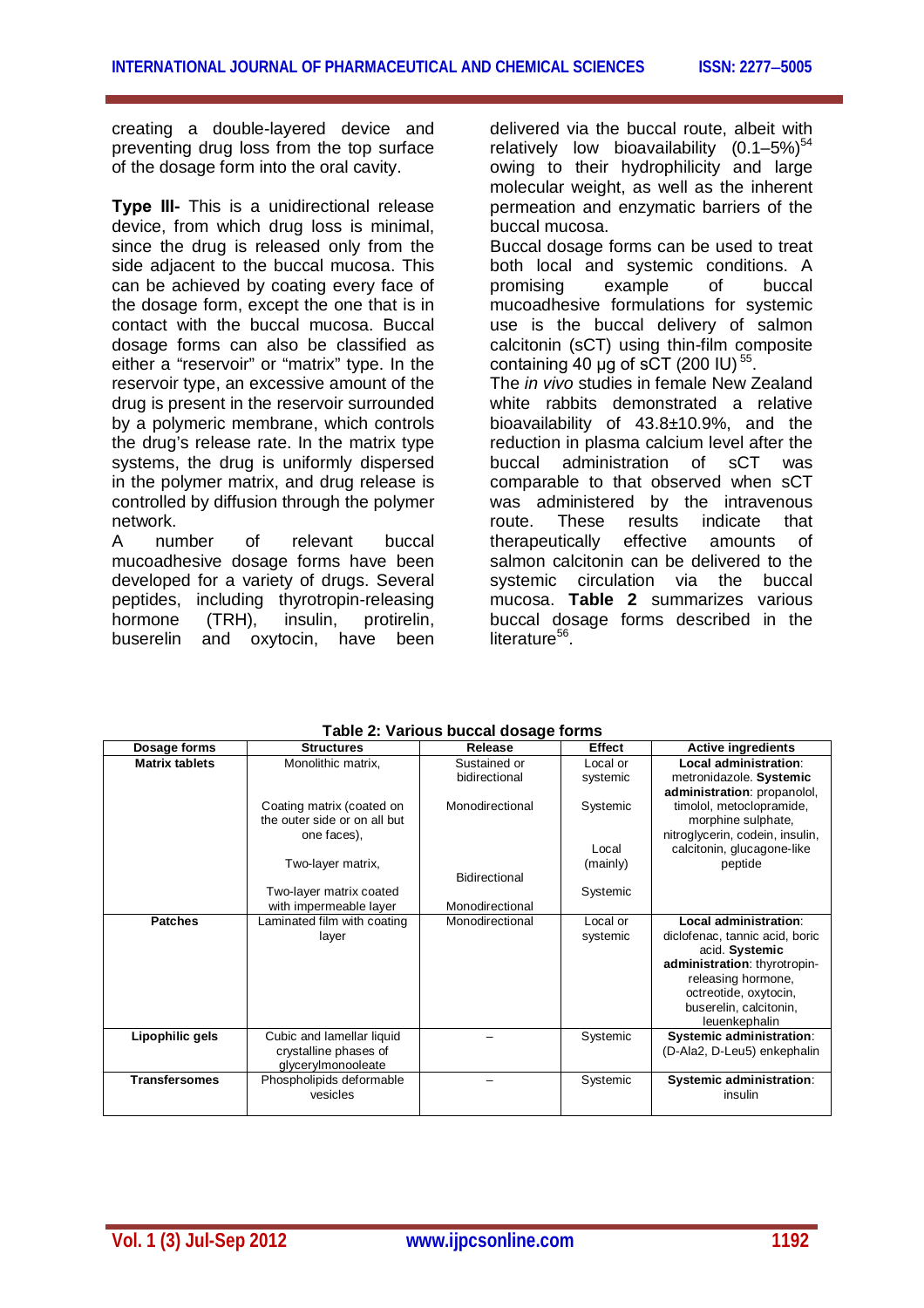creating a double-layered device and preventing drug loss from the top surface of the dosage form into the oral cavity.

**Type ІІІ-** This is a unidirectional release device, from which drug loss is minimal, since the drug is released only from the side adjacent to the buccal mucosa. This can be achieved by coating every face of the dosage form, except the one that is in contact with the buccal mucosa. Buccal dosage forms can also be classified as either a "reservoir" or "matrix" type. In the reservoir type, an excessive amount of the drug is present in the reservoir surrounded by a polymeric membrane, which controls the drug's release rate. In the matrix type systems, the drug is uniformly dispersed in the polymer matrix, and drug release is controlled by diffusion through the polymer network.

A number of relevant buccal mucoadhesive dosage forms have been developed for a variety of drugs. Several peptides, including thyrotropin-releasing hormone (TRH), insulin, protirelin,<br>buserelin and oxytocin, have been and oxytocin, have been delivered via the buccal route, albeit with relatively low bioavailability  $(0.1-5\%)^{54}$ owing to their hydrophilicity and large molecular weight, as well as the inherent permeation and enzymatic barriers of the buccal mucosa.

Buccal dosage forms can be used to treat both local and systemic conditions. A promising example of buccal mucoadhesive formulations for systemic use is the buccal delivery of salmon calcitonin (sCT) using thin-film composite containing 40 µg of sCT (200 IU)<sup>55</sup>.

The *in vivo* studies in female New Zealand white rabbits demonstrated a relative bioavailability of 43.8±10.9%, and the reduction in plasma calcium level after the buccal administration of sCT was comparable to that observed when sCT was administered by the intravenous<br>route. These results indicate that route. These results indicate therapeutically effective amounts of salmon calcitonin can be delivered to the systemic circulation via the buccal mucosa. **Table 2** summarizes various buccal dosage forms described in the literature<sup>56</sup>.

| Dosage forms          | <b>Structures</b>            | Release         | Effect   | <b>Active ingredients</b>       |
|-----------------------|------------------------------|-----------------|----------|---------------------------------|
| <b>Matrix tablets</b> | Monolithic matrix,           | Sustained or    | Local or | Local administration:           |
|                       |                              | bidirectional   | systemic | metronidazole. Systemic         |
|                       |                              |                 |          | administration: propanolol,     |
|                       | Coating matrix (coated on    | Monodirectional | Systemic | timolol, metoclopramide,        |
|                       | the outer side or on all but |                 |          | morphine sulphate,              |
|                       | one faces),                  |                 |          | nitroglycerin, codein, insulin, |
|                       |                              |                 | Local    | calcitonin, glucagone-like      |
|                       | Two-layer matrix,            |                 | (mainly) | peptide                         |
|                       |                              | Bidirectional   |          |                                 |
|                       | Two-layer matrix coated      |                 | Systemic |                                 |
|                       | with impermeable layer       | Monodirectional |          |                                 |
| <b>Patches</b>        | Laminated film with coating  | Monodirectional | Local or | Local administration:           |
|                       | layer                        |                 | systemic | diclofenac, tannic acid, boric  |
|                       |                              |                 |          | acid. Systemic                  |
|                       |                              |                 |          | administration: thyrotropin-    |
|                       |                              |                 |          | releasing hormone,              |
|                       |                              |                 |          | octreotide, oxytocin,           |
|                       |                              |                 |          | buserelin, calcitonin,          |
|                       |                              |                 |          | leuenkephalin                   |
| Lipophilic gels       | Cubic and lamellar liquid    |                 | Systemic | <b>Systemic administration:</b> |
|                       | crystalline phases of        |                 |          | (D-Ala2, D-Leu5) enkephalin     |
|                       | glycerylmonooleate           |                 |          |                                 |
| <b>Transfersomes</b>  | Phospholipids deformable     |                 | Systemic | Systemic administration:        |
|                       | vesicles                     |                 |          | insulin                         |
|                       |                              |                 |          |                                 |

**Table 2: Various buccal dosage forms**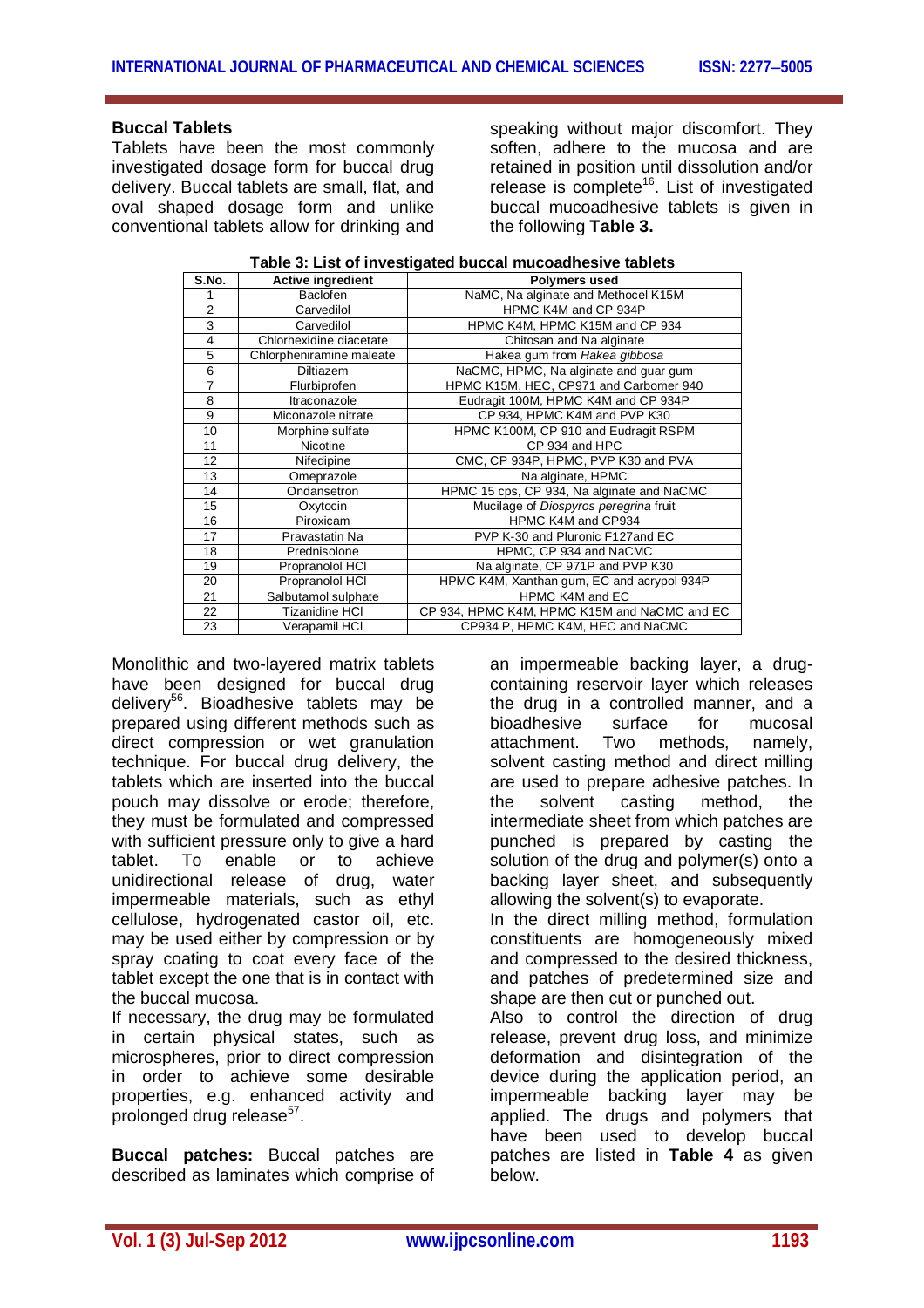## **Buccal Tablets**

Tablets have been the most commonly investigated dosage form for buccal drug delivery. Buccal tablets are small, flat, and oval shaped dosage form and unlike conventional tablets allow for drinking and

speaking without major discomfort. They soften, adhere to the mucosa and are retained in position until dissolution and/or release is complete<sup>16</sup>. List of investigated buccal mucoadhesive tablets is given in the following **Table 3.**

| S.No.          | <b>Active ingredient</b> | <b>Polymers used</b>                         |
|----------------|--------------------------|----------------------------------------------|
|                | Baclofen                 | NaMC, Na alginate and Methocel K15M          |
| $\overline{2}$ | Carvedilol               | HPMC K4M and CP 934P                         |
| 3              | Carvedilol               | HPMC K4M, HPMC K15M and CP 934               |
| 4              | Chlorhexidine diacetate  | Chitosan and Na alginate                     |
| 5              | Chlorpheniramine maleate | Hakea gum from Hakea gibbosa                 |
| 6              | <b>Diltiazem</b>         | NaCMC, HPMC, Na alginate and guar gum        |
| 7              | Flurbiprofen             | HPMC K15M, HEC, CP971 and Carbomer 940       |
| 8              | Itraconazole             | Eudragit 100M, HPMC K4M and CP 934P          |
| 9              | Miconazole nitrate       | CP 934, HPMC K4M and PVP K30                 |
| 10             | Morphine sulfate         | HPMC K100M, CP 910 and Eudragit RSPM         |
| 11             | Nicotine                 | CP 934 and HPC                               |
| 12             | Nifedipine               | CMC, CP 934P, HPMC, PVP K30 and PVA          |
| 13             | Omeprazole               | Na alginate, HPMC                            |
| 14             | Ondansetron              | HPMC 15 cps, CP 934, Na alginate and NaCMC   |
| 15             | Oxytocin                 | Mucilage of Diospyros peregrina fruit        |
| 16             | Piroxicam                | HPMC K4M and CP934                           |
| 17             | Pravastatin Na           | PVP K-30 and Pluronic F127and EC             |
| 18             | Prednisolone             | HPMC, CP 934 and NaCMC                       |
| 19             | Propranolol HCI          | Na alginate, CP 971P and PVP K30             |
| 20             | Propranolol HCI          | HPMC K4M, Xanthan gum, EC and acrypol 934P   |
| 21             | Salbutamol sulphate      | HPMC K4M and EC                              |
| 22             | <b>Tizanidine HCI</b>    | CP 934, HPMC K4M, HPMC K15M and NaCMC and EC |
| 23             | Verapamil HCI            | CP934 P, HPMC K4M, HEC and NaCMC             |

Monolithic and two-layered matrix tablets have been designed for buccal drug delivery<sup>56</sup>. Bioadhesive tablets may be prepared using different methods such as direct compression or wet granulation technique. For buccal drug delivery, the tablets which are inserted into the buccal pouch may dissolve or erode; therefore, they must be formulated and compressed with sufficient pressure only to give a hard tablet. To enable or to achieve unidirectional release of drug, water impermeable materials, such as ethyl cellulose, hydrogenated castor oil, etc. may be used either by compression or by spray coating to coat every face of the tablet except the one that is in contact with the buccal mucosa.

If necessary, the drug may be formulated in certain physical states, such as microspheres, prior to direct compression in order to achieve some desirable properties, e.g. enhanced activity and prolonged drug release<sup>57</sup>.

**Buccal patches:** Buccal patches are described as laminates which comprise of

an impermeable backing layer, a drugcontaining reservoir layer which releases the drug in a controlled manner, and a<br>bioadhesive surface for mucosal bioadhesive surface for mucosal<br>attachment Two methods namely attachment. Two methods, namely, solvent casting method and direct milling are used to prepare adhesive patches. In the solvent casting method, the intermediate sheet from which patches are punched is prepared by casting the solution of the drug and polymer(s) onto a backing layer sheet, and subsequently allowing the solvent(s) to evaporate.

In the direct milling method, formulation constituents are homogeneously mixed and compressed to the desired thickness, and patches of predetermined size and shape are then cut or punched out.

Also to control the direction of drug release, prevent drug loss, and minimize deformation and disintegration of the device during the application period, an impermeable backing layer may be applied. The drugs and polymers that have been used to develop buccal patches are listed in **Table 4** as given below.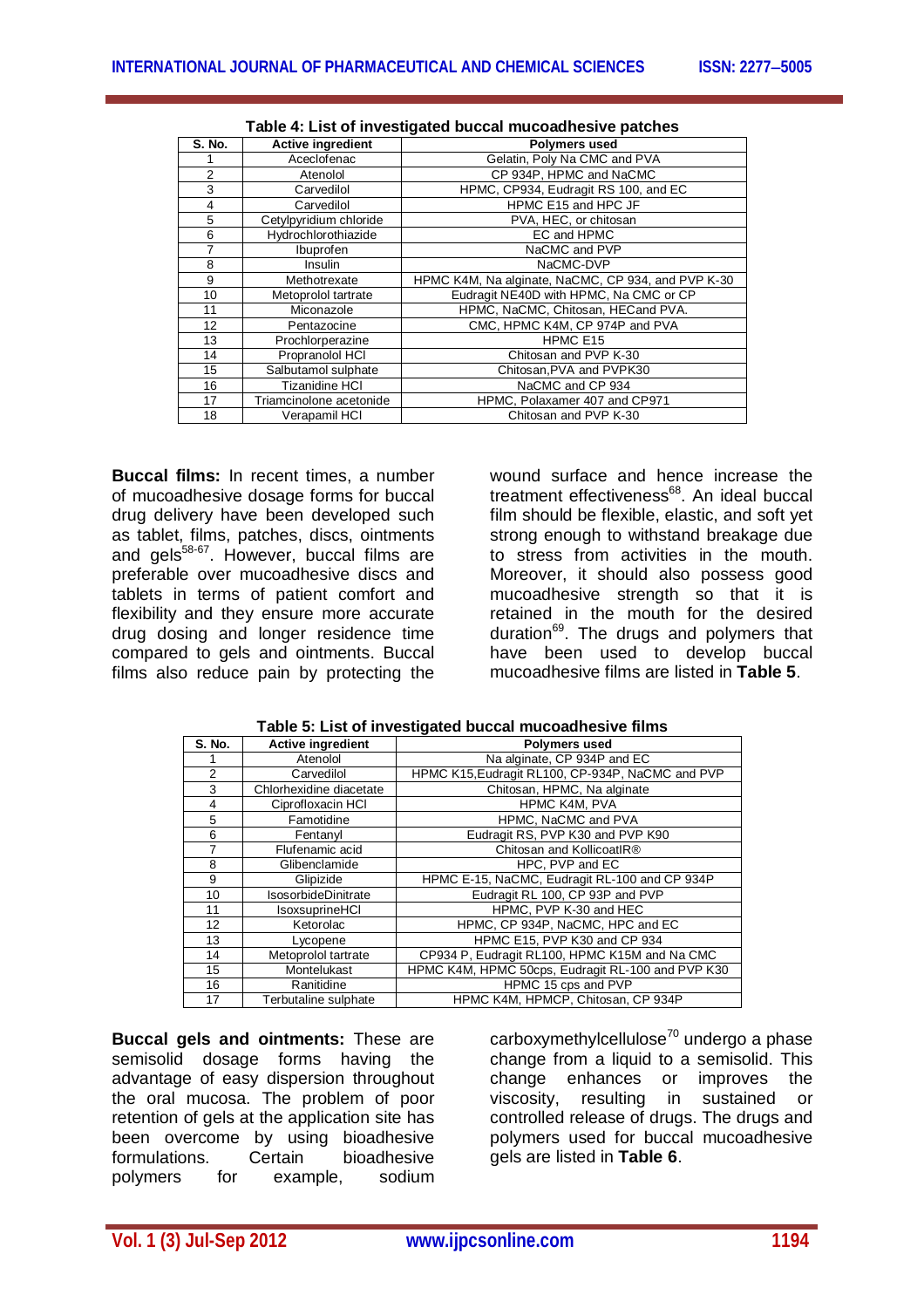| <b>S. No.</b>  | <b>Active ingredient</b> | <b>Polymers used</b>                               |  |
|----------------|--------------------------|----------------------------------------------------|--|
|                | Aceclofenac              | Gelatin, Poly Na CMC and PVA                       |  |
| $\overline{2}$ | Atenolol                 | CP 934P, HPMC and NaCMC                            |  |
| 3              | Carvedilol               | HPMC, CP934, Eudragit RS 100, and EC               |  |
| 4              | Carvedilol               | HPMC E15 and HPC JF                                |  |
| 5              | Cetylpyridium chloride   | PVA, HEC, or chitosan                              |  |
| 6              | Hydrochlorothiazide      | EC and HPMC                                        |  |
| 7              | Ibuprofen                | NaCMC and PVP                                      |  |
| 8              | Insulin                  | NaCMC-DVP                                          |  |
| 9              | Methotrexate             | HPMC K4M, Na alginate, NaCMC, CP 934, and PVP K-30 |  |
| 10             | Metoprolol tartrate      | Eudragit NE40D with HPMC, Na CMC or CP             |  |
| 11             | Miconazole               | HPMC, NaCMC, Chitosan, HECand PVA.                 |  |
| 12             | Pentazocine              | CMC, HPMC K4M, CP 974P and PVA                     |  |
| 13             | Prochlorperazine         | HPMC E15                                           |  |
| 14             | Propranolol HCI          | Chitosan and PVP K-30                              |  |
| 15             | Salbutamol sulphate      | Chitosan, PVA and PVPK30                           |  |
| 16             | <b>Tizanidine HCI</b>    | NaCMC and CP 934                                   |  |
| 17             | Triamcinolone acetonide  | HPMC, Polaxamer 407 and CP971                      |  |
| 18             | Verapamil HCI            | Chitosan and PVP K-30                              |  |

**Buccal films:** In recent times, a number of mucoadhesive dosage forms for buccal drug delivery have been developed such as tablet, films, patches, discs, ointments and gels<sup>58-67</sup>. However, buccal films are preferable over mucoadhesive discs and tablets in terms of patient comfort and flexibility and they ensure more accurate drug dosing and longer residence time compared to gels and ointments. Buccal films also reduce pain by protecting the

wound surface and hence increase the treatment effectiveness<sup>68</sup>. An ideal buccal film should be flexible, elastic, and soft yet strong enough to withstand breakage due to stress from activities in the mouth. Moreover, it should also possess good mucoadhesive strength so that it is retained in the mouth for the desired duration<sup>69</sup>. The drugs and polymers that have been used to develop buccal mucoadhesive films are listed in **Table 5**.

| S. No. | <b>Active ingredient</b>   | <b>Polymers used</b>                              |
|--------|----------------------------|---------------------------------------------------|
|        | Atenolol                   | Na alginate, CP 934P and EC                       |
| 2      | Carvedilol                 | HPMC K15, Eudragit RL100, CP-934P, NaCMC and PVP  |
| 3      | Chlorhexidine diacetate    | Chitosan, HPMC, Na alginate                       |
| 4      | Ciprofloxacin HCI          | <b>HPMC K4M, PVA</b>                              |
| 5      | Famotidine                 | HPMC, NaCMC and PVA                               |
| 6      | Fentanyl                   | Eudragit RS, PVP K30 and PVP K90                  |
| 7      | Flufenamic acid            | Chitosan and KollicoatIR®                         |
| 8      | Glibenclamide              | HPC. PVP and EC                                   |
| 9      | Glipizide                  | HPMC E-15, NaCMC, Eudragit RL-100 and CP 934P     |
| 10     | <b>IsosorbideDinitrate</b> | Eudragit RL 100, CP 93P and PVP                   |
| 11     | IsoxsuprineHCI             | HPMC, PVP K-30 and HEC                            |
| 12     | Ketorolac                  | HPMC, CP 934P, NaCMC, HPC and EC                  |
| 13     | Lycopene                   | HPMC E15, PVP K30 and CP 934                      |
| 14     | Metoprolol tartrate        | CP934 P, Eudragit RL100, HPMC K15M and Na CMC     |
| 15     | Montelukast                | HPMC K4M, HPMC 50cps, Eudragit RL-100 and PVP K30 |
| 16     | Ranitidine                 | HPMC 15 cps and PVP                               |
| 17     | Terbutaline sulphate       | HPMC K4M, HPMCP, Chitosan, CP 934P                |

**Buccal gels and ointments:** These are semisolid dosage forms having the advantage of easy dispersion throughout the oral mucosa. The problem of poor retention of gels at the application site has been overcome by using bioadhesive formulations. Certain bioadhesive<br>polymers for example, sodium polymers for example,

carboxymethylcellulose $70$  undergo a phase change from a liquid to a semisolid. This change enhances or improves the viscosity, resulting in sustained or controlled release of drugs. The drugs and polymers used for buccal mucoadhesive gels are listed in **Table 6**.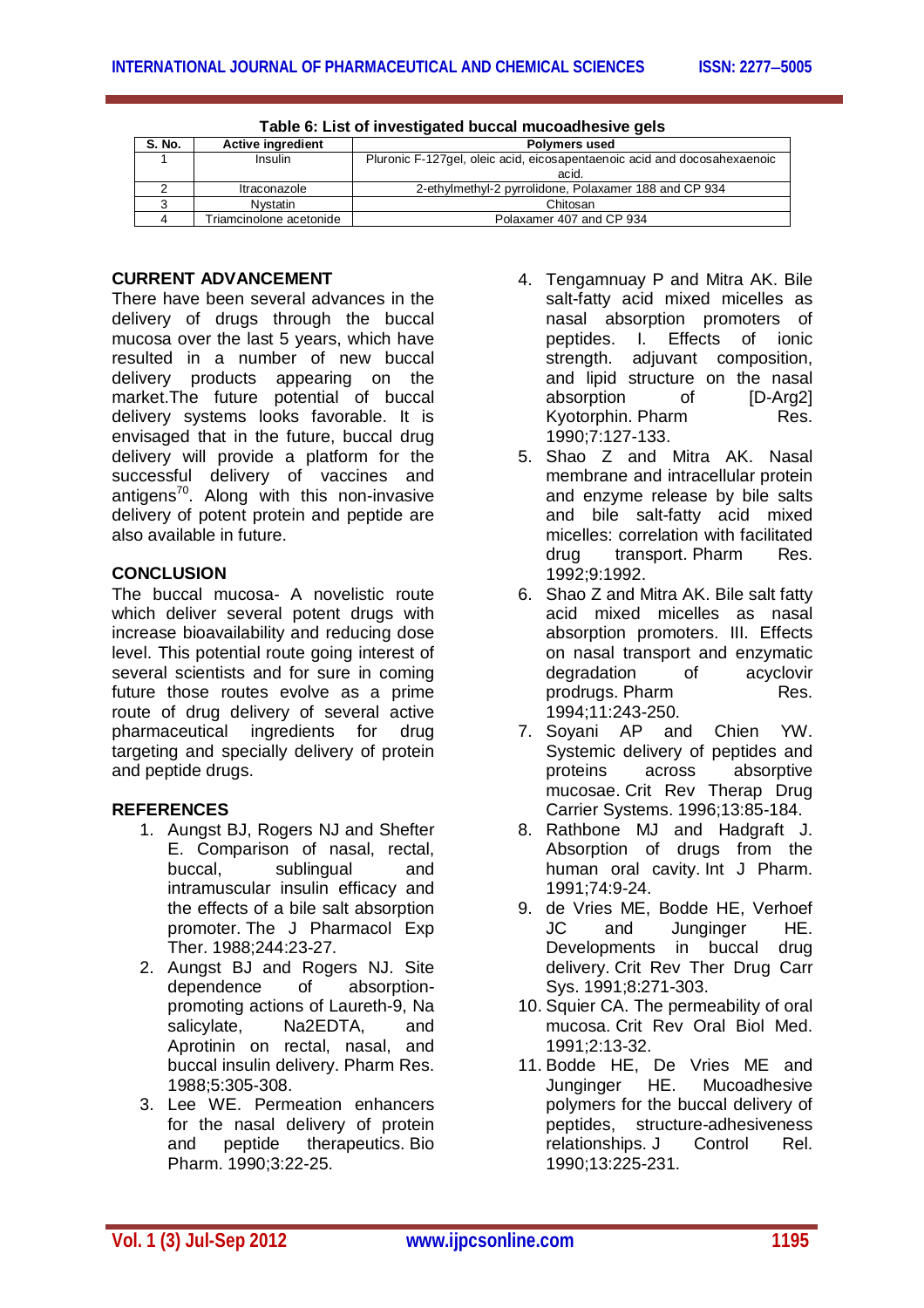| S. No. | <b>Active ingredient</b> | <b>Polymers used</b>                                                     |  |
|--------|--------------------------|--------------------------------------------------------------------------|--|
|        | Insulin                  | Pluronic F-127gel, oleic acid, eicosapentaenoic acid and docosahexaenoic |  |
|        |                          | acid.                                                                    |  |
|        | Itraconazole             | 2-ethylmethyl-2 pyrrolidone, Polaxamer 188 and CP 934                    |  |
|        | <b>N</b> vstatin         | Chitosan                                                                 |  |
|        | Triamcinolone acetonide  | Polaxamer 407 and CP 934                                                 |  |
|        |                          |                                                                          |  |

| Table 6: List of investigated buccal mucoadhesive gels |  |
|--------------------------------------------------------|--|
|--------------------------------------------------------|--|

### **CURRENT ADVANCEMENT**

There have been several advances in the delivery of drugs through the buccal mucosa over the last 5 years, which have resulted in a number of new buccal delivery products appearing on the market.The future potential of buccal delivery systems looks favorable. It is envisaged that in the future, buccal drug delivery will provide a platform for the successful delivery of vaccines and antigens<sup>70</sup>. Along with this non-invasive delivery of potent protein and peptide are also available in future.

## **CONCLUSION**

The buccal mucosa- A novelistic route which deliver several potent drugs with increase bioavailability and reducing dose level. This potential route going interest of several scientists and for sure in coming future those routes evolve as a prime route of drug delivery of several active pharmaceutical ingredients for drug targeting and specially delivery of protein and peptide drugs.

## **REFERENCES**

- 1. Aungst BJ, Rogers NJ and Shefter E. Comparison of nasal, rectal, buccal, sublingual and intramuscular insulin efficacy and the effects of a bile salt absorption promoter. The J Pharmacol Exp Ther. 1988;244:23-27.
- 2. Aungst BJ and Rogers NJ. Site dependence of absorptionpromoting actions of Laureth-9, Na salicylate, Na2EDTA, and Aprotinin on rectal, nasal, and buccal insulin delivery. Pharm Res. 1988;5:305-308.
- 3. Lee WE. Permeation enhancers for the nasal delivery of protein and peptide therapeutics. Bio Pharm. 1990;3:22-25.
- 4. Tengamnuay P and Mitra AK. Bile salt-fatty acid mixed micelles as nasal absorption promoters of peptides. I. Effects of ionic strength. adjuvant composition, and lipid structure on the nasal absorption of [D-Arg2] Kvotorphin. Pharm Res. 1990;7:127-133.
- 5. Shao Z and Mitra AK. Nasal membrane and intracellular protein and enzyme release by bile salts and bile salt-fatty acid mixed micelles: correlation with facilitated drug transport. Pharm Res. 1992;9:1992.
- 6. Shao Z and Mitra AK. Bile salt fatty acid mixed micelles as nasal absorption promoters. III. Effects on nasal transport and enzymatic degradation of acyclovir prodrugs. Pharm Res. 1994;11:243-250.
- 7. Soyani AP and Chien YW. Systemic delivery of peptides and proteins across absorptive mucosae. Crit Rev Therap Drug Carrier Systems. 1996;13:85-184.
- 8. Rathbone MJ and Hadgraft J. Absorption of drugs from the human oral cavity. Int J Pharm. 1991;74:9-24.
- 9. de Vries ME, Bodde HE, Verhoef JC and Junginger HE. Developments in buccal drug delivery. Crit Rev Ther Drug Carr Sys. 1991;8:271-303.
- 10. Squier CA. The permeability of oral mucosa. Crit Rev Oral Biol Med. 1991;2:13-32.
- 11. Bodde HE, De Vries ME and Junginger HE. Mucoadhesive polymers for the buccal delivery of peptides, structure-adhesiveness relationships. J Control Rel. 1990;13:225-231.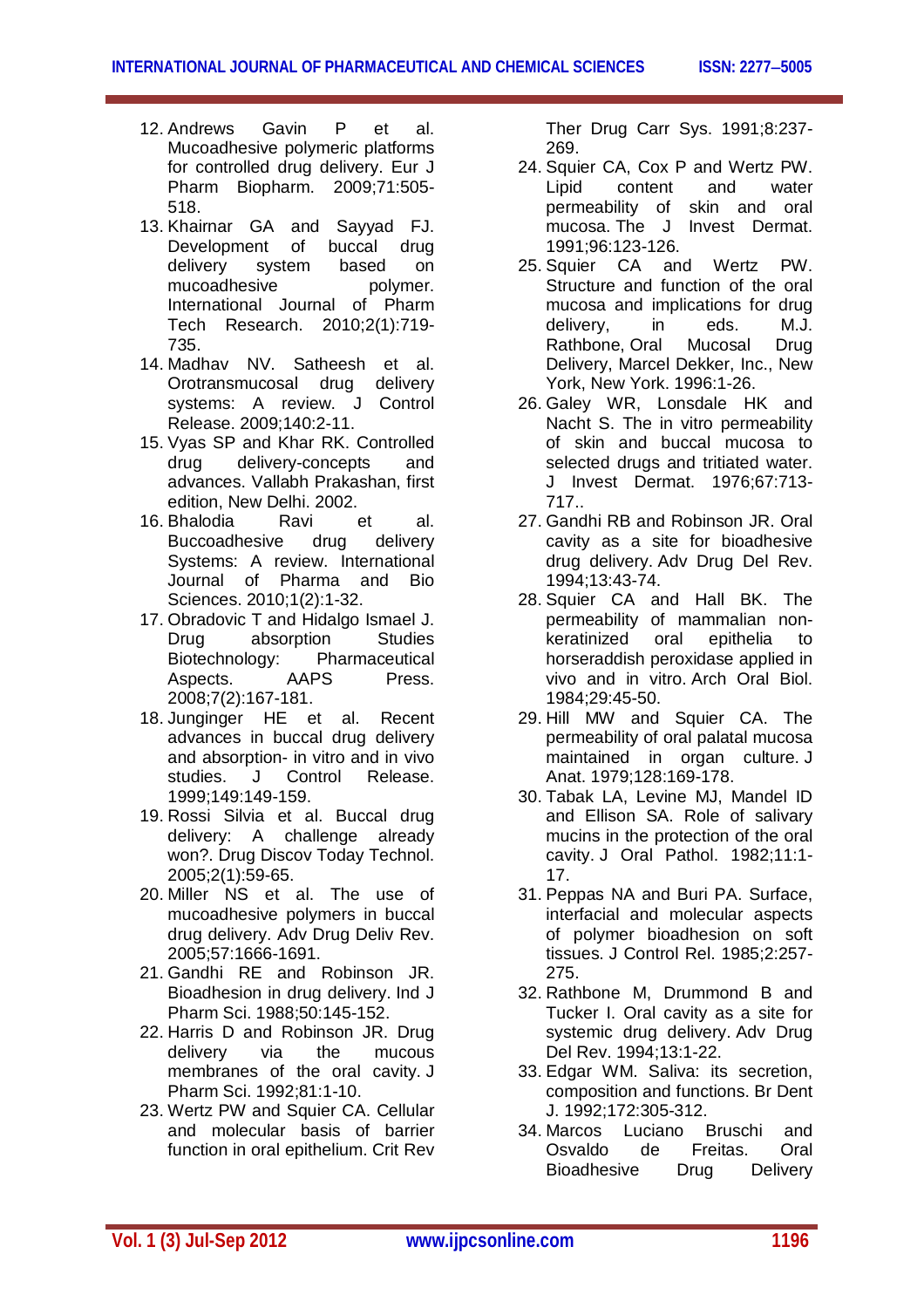- 12. Andrews Gavin P et al. Mucoadhesive polymeric platforms for controlled drug delivery. Eur J Pharm Biopharm. 2009;71:505- 518.
- 13. Khairnar GA and Sayyad FJ. Development of buccal drug delivery system based on<br>mucoadhesive bolymer. mucoadhesive International Journal of Pharm Tech Research. 2010;2(1):719- 735.
- 14. Madhav NV. Satheesh et al. Orotransmucosal drug delivery systems: A review. J Control Release. 2009;140:2-11.
- 15. Vyas SP and Khar RK. Controlled drug delivery-concepts and advances. Vallabh Prakashan, first edition, New Delhi. 2002.<br>Bhalodia Ravi
- 16. Bhalodia Ravi et al. Buccoadhesive drug delivery Systems: A review. International Journal of Pharma and Bio Sciences. 2010;1(2):1-32.
- 17. Obradovic T and Hidalgo Ismael J. Drug absorption Studies Biotechnology: Pharmaceutical Aspects. AAPS Press. 2008;7(2):167-181.
- 18. Junginger HE et al. Recent advances in buccal drug delivery and absorption- in vitro and in vivo studies. J Control Release. 1999;149:149-159.
- 19. Rossi Silvia et al. Buccal drug delivery: A challenge already won?. Drug Discov Today Technol. 2005;2(1):59-65.
- 20. Miller NS et al. The use of mucoadhesive polymers in buccal drug delivery. Adv Drug Deliv Rev. 2005;57:1666-1691.
- 21. Gandhi RE and Robinson JR. Bioadhesion in drug delivery. Ind J Pharm Sci. 1988;50:145-152.
- 22. Harris D and Robinson JR. Drug delivery via the mucous membranes of the oral cavity. J Pharm Sci. 1992;81:1-10.
- 23. Wertz PW and Squier CA. Cellular and molecular basis of barrier function in oral epithelium. Crit Rev

Ther Drug Carr Sys. 1991;8:237- 269.

- 24. Squier CA, Cox P and Wertz PW. Lipid content and water permeability of skin and oral mucosa. The J Invest Dermat. 1991;96:123-126.
- 25. Squier CA and Wertz PW. Structure and function of the oral mucosa and implications for drug delivery, in eds. M.J. Rathbone, Oral Mucosal Drug Delivery, Marcel Dekker, Inc., New York, New York. 1996:1-26.
- 26. Galey WR, Lonsdale HK and Nacht S. The in vitro permeability of skin and buccal mucosa to selected drugs and tritiated water. J Invest Dermat. 1976;67:713- 717..
- 27. Gandhi RB and Robinson JR. Oral cavity as a site for bioadhesive drug delivery. Adv Drug Del Rev. 1994;13:43-74.
- 28. Squier CA and Hall BK. The permeability of mammalian nonkeratinized oral epithelia to horseraddish peroxidase applied in vivo and in vitro. Arch Oral Biol. 1984;29:45-50.
- 29. Hill MW and Squier CA. The permeability of oral palatal mucosa maintained in organ culture. J Anat. 1979;128:169-178.
- 30. Tabak LA, Levine MJ, Mandel ID and Ellison SA. Role of salivary mucins in the protection of the oral cavity. J Oral Pathol. 1982;11:1- 17.
- 31. Peppas NA and Buri PA. Surface, interfacial and molecular aspects of polymer bioadhesion on soft tissues. J Control Rel. 1985;2:257- 275.
- 32. Rathbone M, Drummond B and Tucker I. Oral cavity as a site for systemic drug delivery. Adv Drug Del Rev. 1994;13:1-22.
- 33. Edgar WM. Saliva: its secretion, composition and functions. Br Dent J. 1992;172:305-312.
- 34. Marcos Luciano Bruschi and Osvaldo de Freitas. Oral Bioadhesive Drug Delivery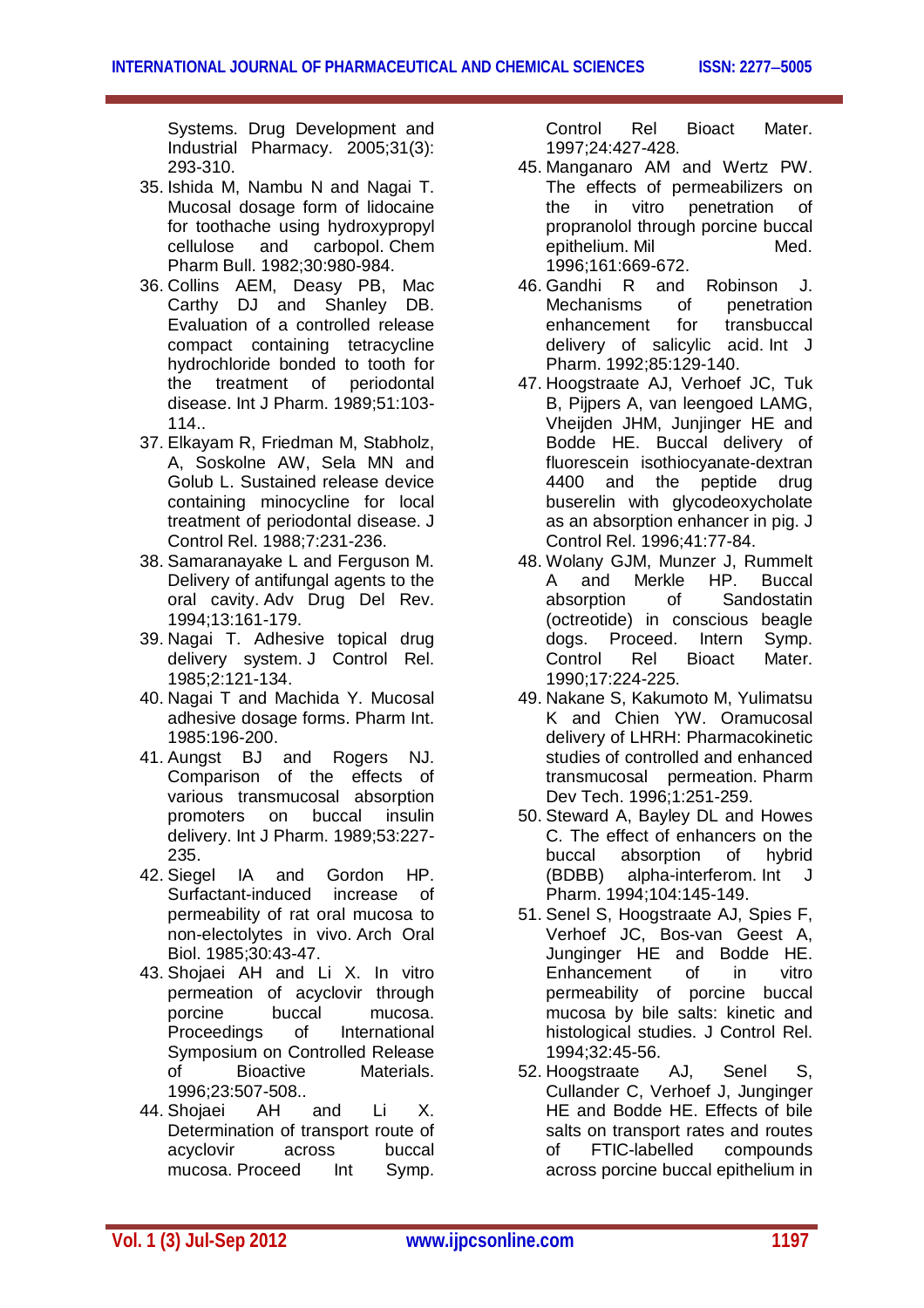Systems. Drug Development and Industrial Pharmacy. 2005;31(3): 293-310.

- 35. Ishida M, Nambu N and Nagai T. Mucosal dosage form of lidocaine for toothache using hydroxypropyl<br>cellulose and carbopol. Chem carbopol. Chem Pharm Bull. 1982;30:980-984.
- 36. Collins AEM, Deasy PB, Mac Carthy DJ and Shanley DB. Evaluation of a controlled release compact containing tetracycline hydrochloride bonded to tooth for the treatment of periodontal disease. Int J Pharm. 1989;51:103- 114..
- 37. Elkayam R, Friedman M, Stabholz, A, Soskolne AW, Sela MN and Golub L. Sustained release device containing minocycline for local treatment of periodontal disease. J Control Rel. 1988;7:231-236.
- 38. Samaranayake L and Ferguson M. Delivery of antifungal agents to the oral cavity. Adv Drug Del Rev. 1994;13:161-179.
- 39. Nagai T. Adhesive topical drug delivery system. J Control Rel. 1985;2:121-134.
- 40. Nagai T and Machida Y. Mucosal adhesive dosage forms. Pharm Int. 1985:196-200.
- 41. Aungst BJ and Rogers NJ. Comparison of the effects of various transmucosal absorption promoters on buccal insulin delivery. Int J Pharm. 1989;53:227- 235.
- 42. Siegel IA and Gordon HP. Surfactant-induced increase of permeability of rat oral mucosa to non-electolytes in vivo. Arch Oral Biol. 1985;30:43-47.
- 43. Shojaei AH and Li X. In vitro permeation of acyclovir through porcine buccal mucosa. Proceedings of International Symposium on Controlled Release of Bioactive Materials. 1996;23:507-508..
- 44. Shojaei AH and Li X. Determination of transport route of acyclovir across buccal mucosa. Proceed Int Symp.

Control Rel Bioact Mater. 1997;24:427-428.

- 45. Manganaro AM and Wertz PW. The effects of permeabilizers on the in vitro penetration of propranolol through porcine buccal<br>epithelium Mil<br>Med epithelium. Mil 1996;161:669-672.
- 46. Gandhi R and Robinson J. Mechanisms of penetration enhancement for transbuccal delivery of salicylic acid. Int J Pharm. 1992;85:129-140.
- 47. Hoogstraate AJ, Verhoef JC, Tuk B, Pijpers A, van leengoed LAMG, Vheijden JHM, Junjinger HE and Bodde HE. Buccal delivery of fluorescein isothiocyanate-dextran 4400 and the peptide drug buserelin with glycodeoxycholate as an absorption enhancer in pig. J Control Rel. 1996;41:77-84.
- 48. Wolany GJM, Munzer J, Rummelt A and Merkle HP. Buccal absorption of Sandostatin (octreotide) in conscious beagle dogs. Proceed. Intern Symp. Control Rel Bioact Mater. 1990;17:224-225.
- 49. Nakane S, Kakumoto M, Yulimatsu K and Chien YW. Oramucosal delivery of LHRH: Pharmacokinetic studies of controlled and enhanced transmucosal permeation. Pharm Dev Tech. 1996;1:251-259.
- 50. Steward A, Bayley DL and Howes C. The effect of enhancers on the buccal absorption of hybrid (BDBB) alpha-interferom. Int J Pharm. 1994;104:145-149.
- 51. Senel S, Hoogstraate AJ, Spies F, Verhoef JC, Bos-van Geest A, Junginger HE and Bodde HE. Enhancement of in vitro permeability of porcine buccal mucosa by bile salts: kinetic and histological studies. J Control Rel. 1994;32:45-56.
- 52. Hoogstraate AJ, Senel S, Cullander C, Verhoef J, Junginger HE and Bodde HE. Effects of bile salts on transport rates and routes of FTIC-labelled compounds across porcine buccal epithelium in